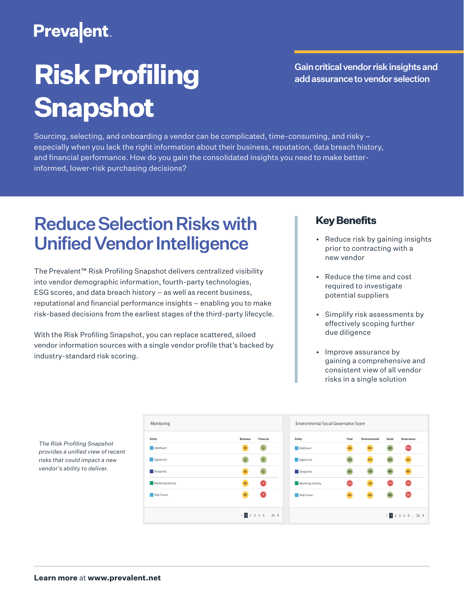### **Prevalent**

# **Risk Profiling Snapshot**

Gain critical vendor risk insights and add assurance to vendor selection

Sourcing, selecting, and onboarding a vendor can be complicated, time-consuming, and risky – especially when you lack the right information about their business, reputation, data breach history, and financial performance. How do you gain the consolidated insights you need to make betterinformed, lower-risk purchasing decisions?

### Reduce Selection Risks with Unified Vendor Intelligence

The Prevalent™ Risk Profiling Snapshot delivers centralized visibility into vendor demographic information, fourth-party technologies, ESG scores, and data breach history – as well as recent business, reputational and financial performance insights – enabling you to make risk-based decisions from the earliest stages of the third-party lifecycle.

With the Risk Profiling Snapshot, you can replace scattered, siloed vendor information sources with a single vendor profile that's backed by industry-standard risk scoring.

Monitoring

Entity **Webfluent** Digital Link Designistic Marketing Velocity Web Fusion

#### **Key Benefits**

- Reduce risk by gaining insights prior to contracting with a new vendor
- Reduce the time and cost required to investigate potential suppliers
- Simplify risk assessments by effectively scoping further due diligence
- Improve assurance by gaining a comprehensive and consistent view of all vendor risks in a single solution

|                   |           |                    | Environmental Social Governance Score |               |        |                           |  |
|-------------------|-----------|--------------------|---------------------------------------|---------------|--------|---------------------------|--|
| <b>Business</b>   | Financial | Entity             | Total                                 | Environmental | Social | Governance                |  |
| M                 |           | Webfluent          | 45%                                   | 34%           | 85%    | 15%                       |  |
|                   |           | Digital Link       | 75%                                   | 67%           | 81%    | 52%                       |  |
| M                 |           | Designistic        | 15%                                   | 74%           | 85%    | 50%                       |  |
| M                 |           | Marketing Velocity | 12%                                   | 32%           | 27%    | 12%                       |  |
| M                 |           | Web Fusion         | 42%                                   | 34%           | 85%    | 15%                       |  |
| $1$ 2 3 4 5  20 > |           |                    |                                       |               |        | $\langle$ 1 2 3 4 5  20 > |  |

*The Risk Profiling Snapshot provides a unified view of recent risks that could impact a new vendor's ability to deliver.*